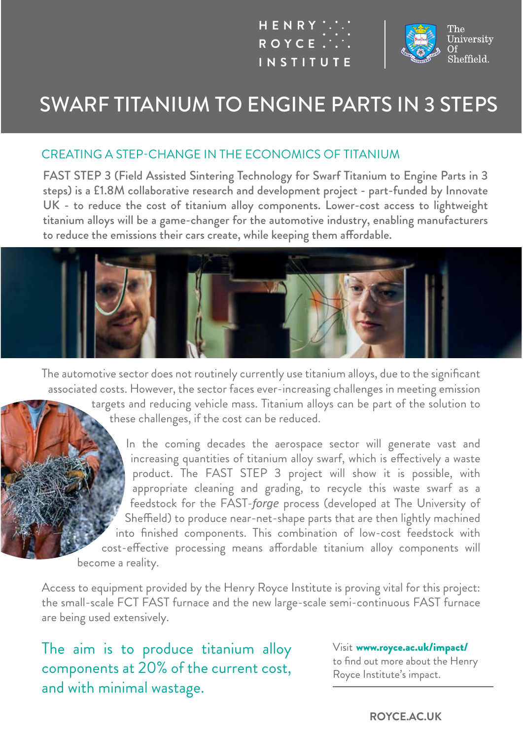



# SWARF TITANIUM TO ENGINE PARTS IN 3 STEPS

#### CREATING A STEP-CHANGE IN THE ECONOMICS OF TITANIUM

FAST STEP 3 (Field Assisted Sintering Technology for Swarf Titanium to Engine Parts in 3 steps) is a £1.8M collaborative research and development project - part-funded by Innovate UK - to reduce the cost of titanium alloy components. Lower-cost access to lightweight titanium alloys will be a game-changer for the automotive industry, enabling manufacturers to reduce the emissions their cars create, while keeping them affordable.



The automotive sector does not routinely currently use titanium alloys, due to the significant associated costs. However, the sector faces ever-increasing challenges in meeting emission targets and reducing vehicle mass. Titanium alloys can be part of the solution to these challenges, if the cost can be reduced.

In the coming decades the aerospace sector will generate vast and increasing quantities of titanium alloy swarf, which is effectively a waste product. The FAST STEP 3 project will show it is possible, with appropriate cleaning and grading, to recycle this waste swarf as a feedstock for the FAST-*forge* process (developed at The University of Sheffield) to produce near-net-shape parts that are then lightly machined into finished components. This combination of low-cost feedstock with cost-effective processing means affordable titanium alloy components will become a reality.

Access to equipment provided by the Henry Royce Institute is proving vital for this project: the small-scale FCT FAST furnace and the new large-scale semi-continuous FAST furnace are being used extensively.

The aim is to produce titanium alloy components at 20% of the current cost, and with minimal wastage.

Visit www.royce.ac.uk/impact/ to find out more about the Henry Royce Institute's impact.

#### **ROYCE.AC.UK**